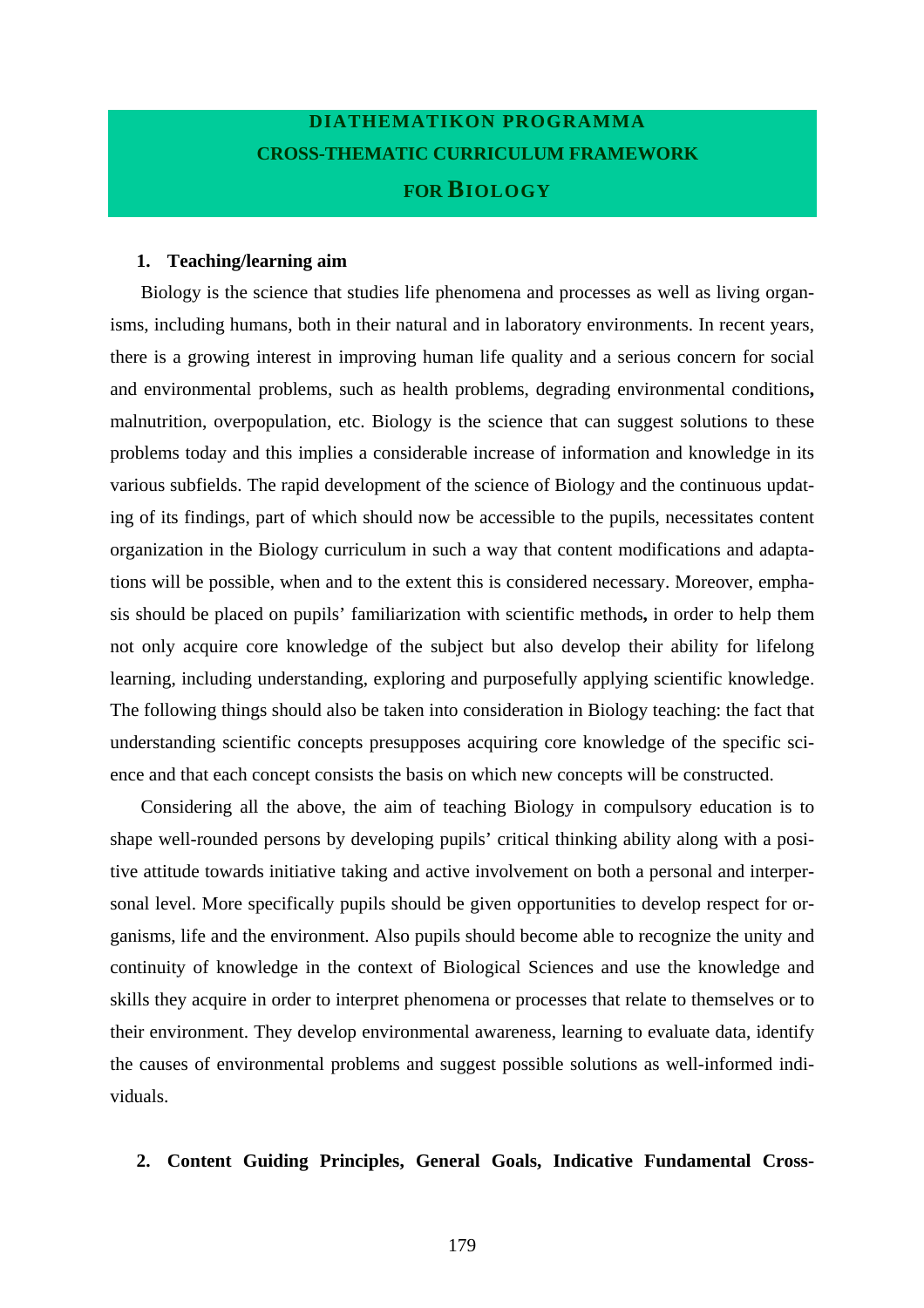# **DIATHEMATIKON PROGRAMMA CROSS-THEMATIC CURRICULUM FRAMEWORK FOR BIOLOGY**

#### **1. Teaching/learning aim**

Biology is the science that studies life phenomena and processes as well as living organisms, including humans, both in their natural and in laboratory environments. In recent years, there is a growing interest in improving human life quality and a serious concern for social and environmental problems, such as health problems, degrading environmental conditions**,**  malnutrition, overpopulation, etc. Biology is the science that can suggest solutions to these problems today and this implies a considerable increase of information and knowledge in its various subfields. The rapid development of the science of Biology and the continuous updating of its findings, part of which should now be accessible to the pupils, necessitates content organization in the Biology curriculum in such a way that content modifications and adaptations will be possible, when and to the extent this is considered necessary. Moreover, emphasis should be placed on pupils' familiarization with scientific methods**,** in order to help them not only acquire core knowledge of the subject but also develop their ability for lifelong learning, including understanding, exploring and purposefully applying scientific knowledge. The following things should also be taken into consideration in Biology teaching: the fact that understanding scientific concepts presupposes acquiring core knowledge of the specific science and that each concept consists the basis on which new concepts will be constructed.

Considering all the above, the aim of teaching Biology in compulsory education is to shape well-rounded persons by developing pupils' critical thinking ability along with a positive attitude towards initiative taking and active involvement on both a personal and interpersonal level. More specifically pupils should be given opportunities to develop respect for organisms, life and the environment. Also pupils should become able to recognize the unity and continuity of knowledge in the context of Biological Sciences and use the knowledge and skills they acquire in order to interpret phenomena or processes that relate to themselves or to their environment. They develop environmental awareness, learning to evaluate data, identify the causes of environmental problems and suggest possible solutions as well-informed individuals.

### **2. Content Guiding Principles, General Goals, Indicative Fundamental Cross-**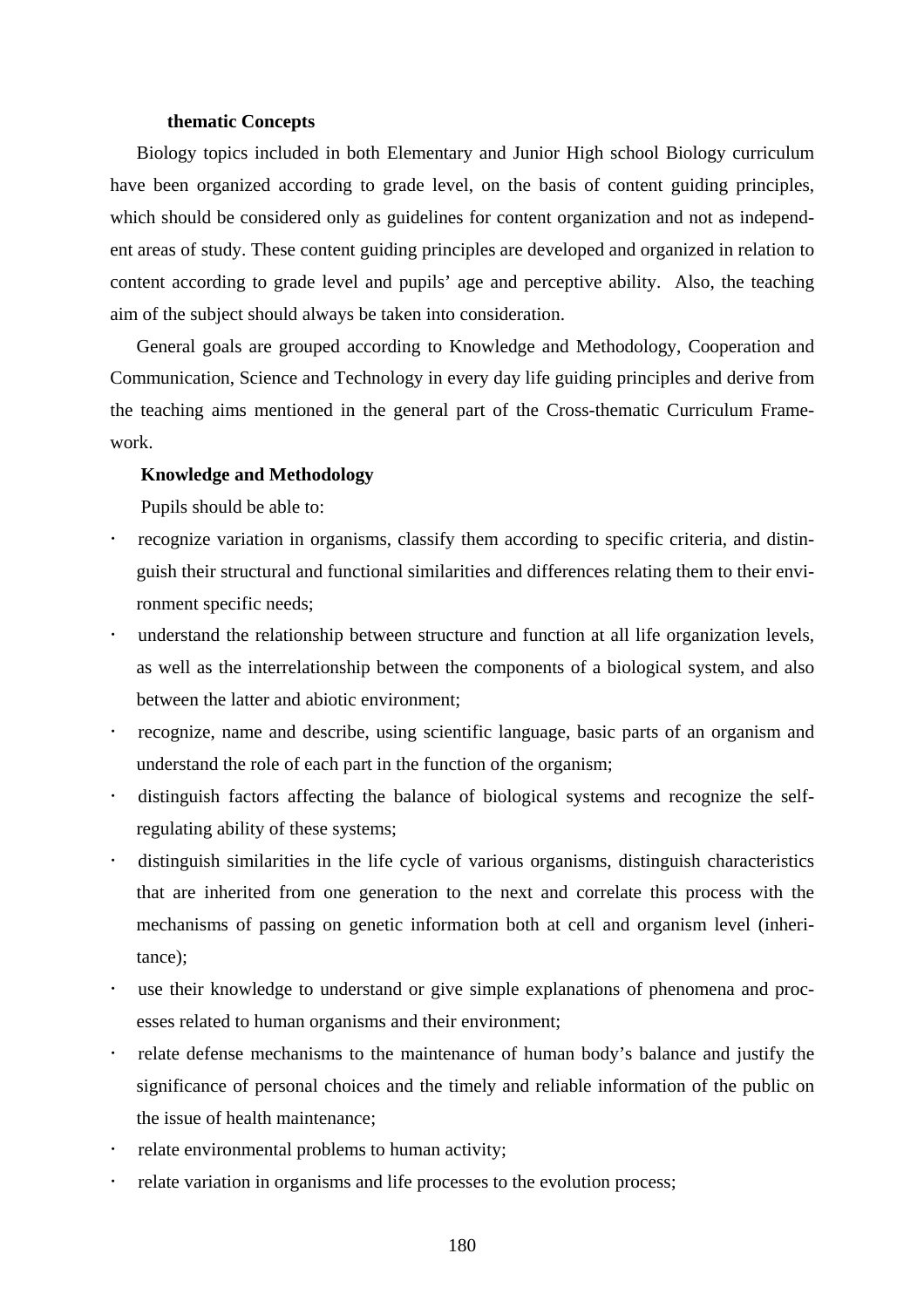#### **thematic Concepts**

Biology topics included in both Elementary and Junior High school Biology curriculum have been organized according to grade level, on the basis of content guiding principles, which should be considered only as guidelines for content organization and not as independent areas of study. These content guiding principles are developed and organized in relation to content according to grade level and pupils' age and perceptive ability. Also, the teaching aim of the subject should always be taken into consideration.

General goals are grouped according to Knowledge and Methodology, Cooperation and Communication, Science and Technology in every day life guiding principles and derive from the teaching aims mentioned in the general part of the Cross-thematic Curriculum Framework.

### **Knowledge and Methodology**

Pupils should be able to:

- ! recognize variation in organisms, classify them according to specific criteria, and distinguish their structural and functional similarities and differences relating them to their environment specific needs;
- understand the relationship between structure and function at all life organization levels, as well as the interrelationship between the components of a biological system, and also between the latter and abiotic environment;
- ! recognize, name and describe, using scientific language, basic parts of an organism and understand the role of each part in the function of the organism;
- ! distinguish factors affecting the balance of biological systems and recognize the selfregulating ability of these systems;
- ! distinguish similarities in the life cycle of various organisms, distinguish characteristics that are inherited from one generation to the next and correlate this process with the mechanisms of passing on genetic information both at cell and organism level (inheritance);
- use their knowledge to understand or give simple explanations of phenomena and processes related to human organisms and their environment;
- ! relate defense mechanisms to the maintenance of human body's balance and justify the significance of personal choices and the timely and reliable information of the public on the issue of health maintenance;
- relate environmental problems to human activity;
- ! relate variation in organisms and life processes to the evolution process;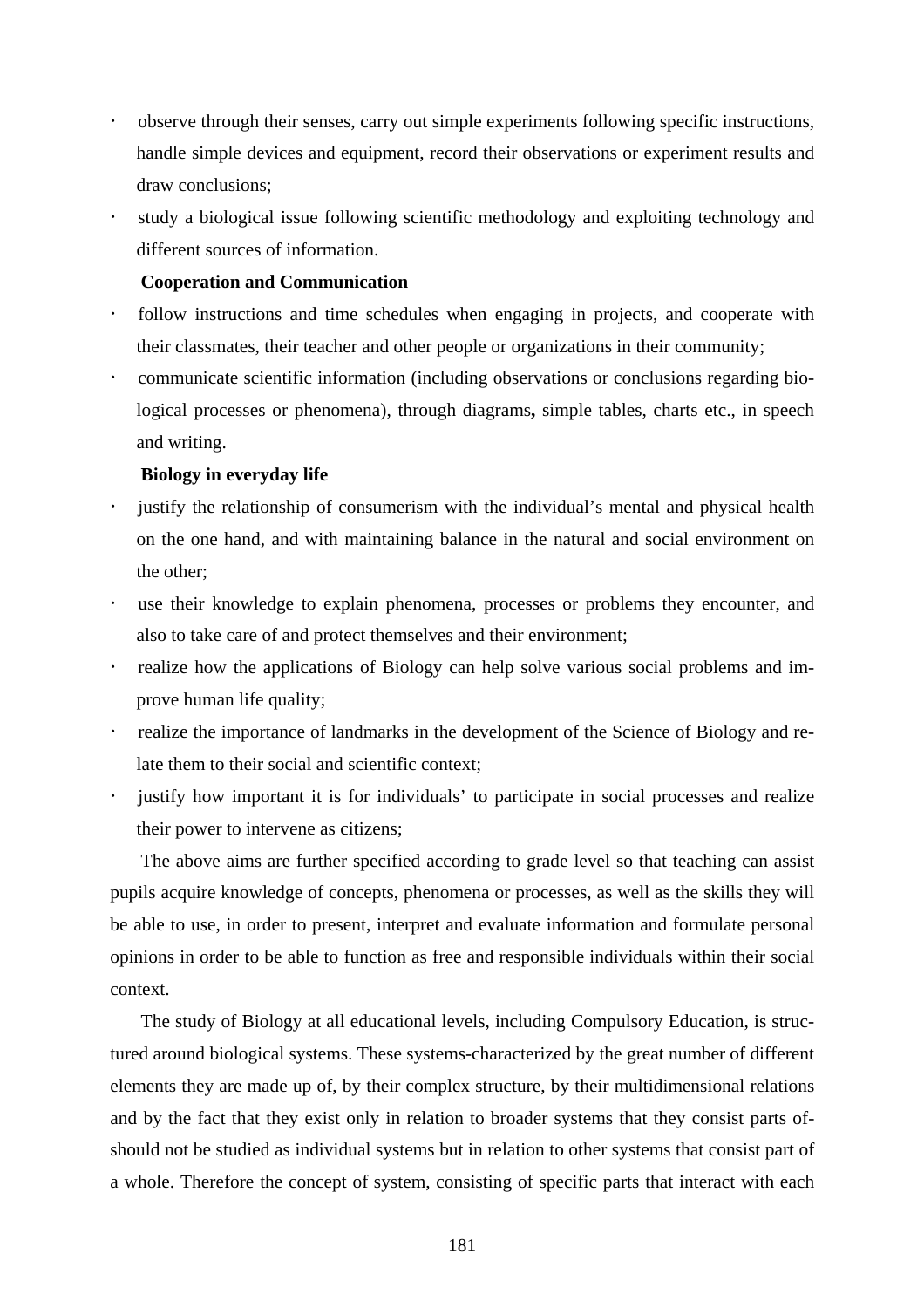- ! observe through their senses, carry out simple experiments following specific instructions, handle simple devices and equipment, record their observations or experiment results and draw conclusions;
- ! study a biological issue following scientific methodology and exploiting technology and different sources of information.

## **Cooperation and Communication**

- ! follow instructions and time schedules when engaging in projects, and cooperate with their classmates, their teacher and other people or organizations in their community;
- ! communicate scientific information (including observations or conclusions regarding biological processes or phenomena), through diagrams**,** simple tables, charts etc., in speech and writing.

## **Biology in everyday life**

- justify the relationship of consumerism with the individual's mental and physical health on the one hand, and with maintaining balance in the natural and social environment on the other;
- use their knowledge to explain phenomena, processes or problems they encounter, and also to take care of and protect themselves and their environment;
- realize how the applications of Biology can help solve various social problems and improve human life quality;
- ! realize the importance of landmarks in the development of the Science of Biology and relate them to their social and scientific context;
- justify how important it is for individuals' to participate in social processes and realize their power to intervene as citizens;

The above aims are further specified according to grade level so that teaching can assist pupils acquire knowledge of concepts, phenomena or processes, as well as the skills they will be able to use, in order to present, interpret and evaluate information and formulate personal opinions in order to be able to function as free and responsible individuals within their social context.

The study of Biology at all educational levels, including Compulsory Education, is structured around biological systems. These systems-characterized by the great number of different elements they are made up of, by their complex structure, by their multidimensional relations and by the fact that they exist only in relation to broader systems that they consist parts ofshould not be studied as individual systems but in relation to other systems that consist part of a whole. Therefore the concept of system, consisting of specific parts that interact with each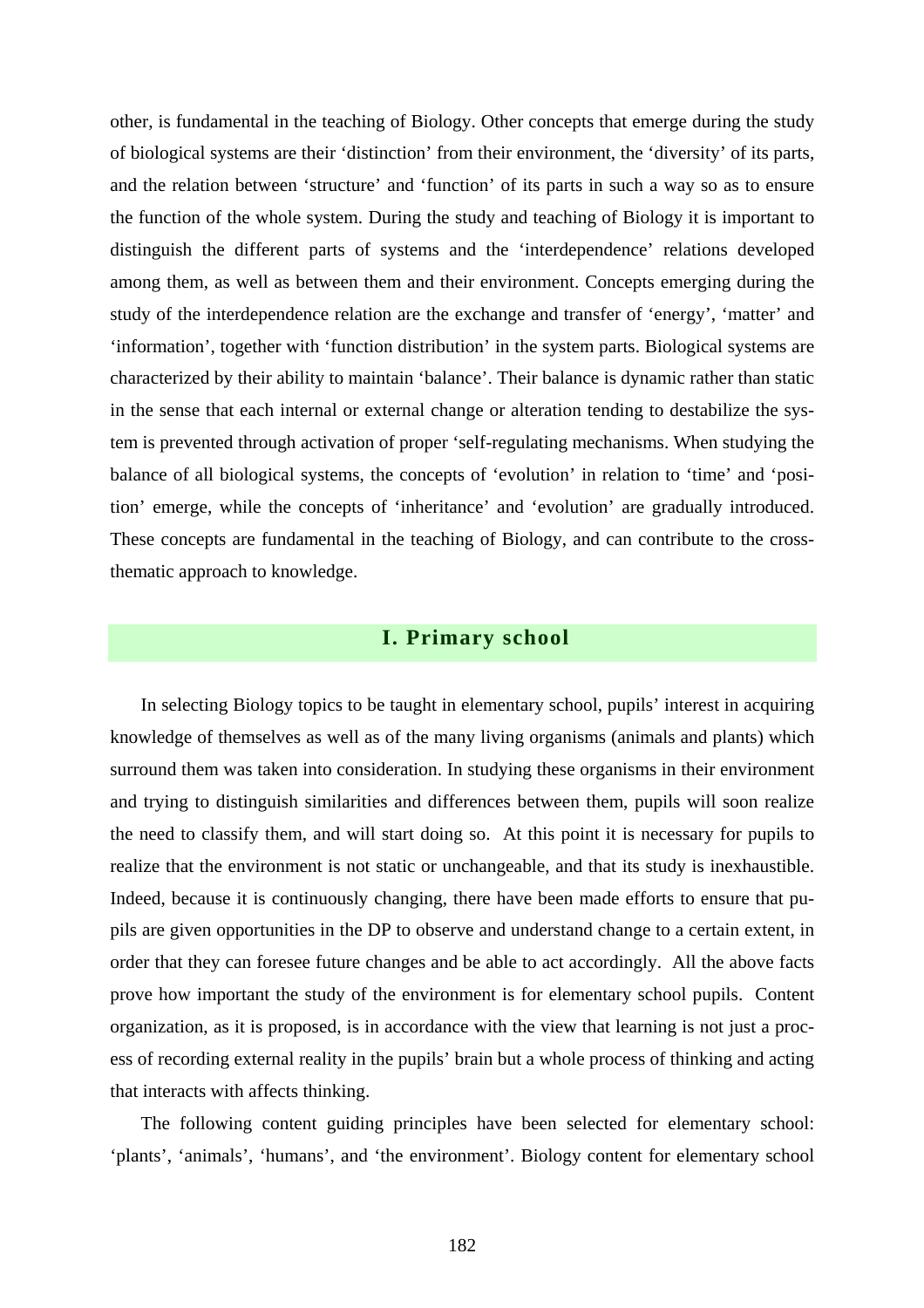other, is fundamental in the teaching of Biology. Other concepts that emerge during the study of biological systems are their 'distinction' from their environment, the 'diversity' of its parts, and the relation between 'structure' and 'function' of its parts in such a way so as to ensure the function of the whole system. During the study and teaching of Biology it is important to distinguish the different parts of systems and the 'interdependence' relations developed among them, as well as between them and their environment. Concepts emerging during the study of the interdependence relation are the exchange and transfer of 'energy', 'matter' and 'information', together with 'function distribution' in the system parts. Biological systems are characterized by their ability to maintain 'balance'. Their balance is dynamic rather than static in the sense that each internal or external change or alteration tending to destabilize the system is prevented through activation of proper 'self-regulating mechanisms. When studying the balance of all biological systems, the concepts of 'evolution' in relation to 'time' and 'position' emerge, while the concepts of 'inheritance' and 'evolution' are gradually introduced. These concepts are fundamental in the teaching of Biology, and can contribute to the crossthematic approach to knowledge.

# **I. Primary school**

In selecting Biology topics to be taught in elementary school, pupils' interest in acquiring knowledge of themselves as well as of the many living organisms (animals and plants) which surround them was taken into consideration. In studying these organisms in their environment and trying to distinguish similarities and differences between them, pupils will soon realize the need to classify them, and will start doing so. At this point it is necessary for pupils to realize that the environment is not static or unchangeable, and that its study is inexhaustible. Indeed, because it is continuously changing, there have been made efforts to ensure that pupils are given opportunities in the DP to observe and understand change to a certain extent, in order that they can foresee future changes and be able to act accordingly. All the above facts prove how important the study of the environment is for elementary school pupils. Content organization, as it is proposed, is in accordance with the view that learning is not just a process of recording external reality in the pupils' brain but a whole process of thinking and acting that interacts with affects thinking.

The following content guiding principles have been selected for elementary school: 'plants', 'animals', 'humans', and 'the environment'. Biology content for elementary school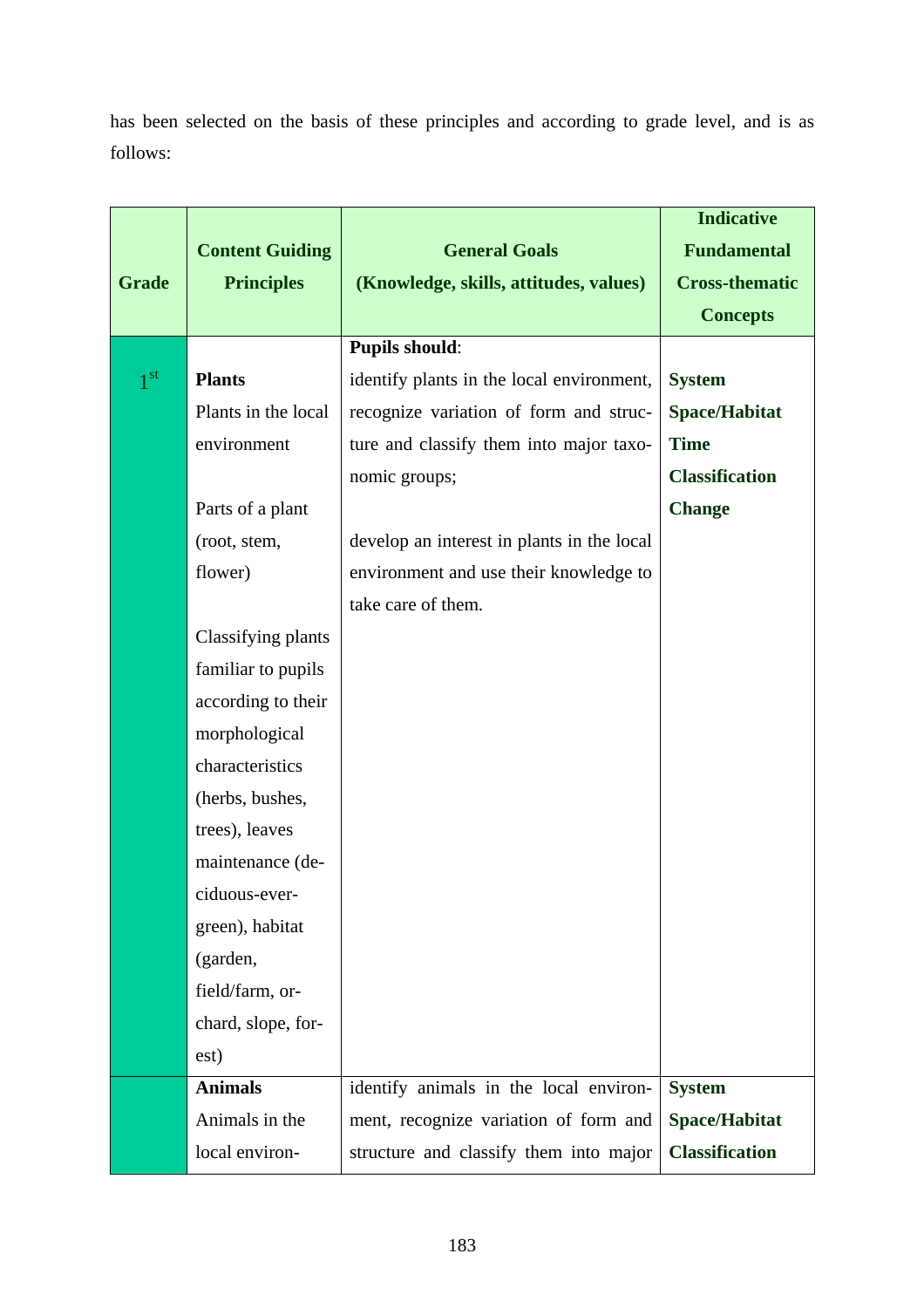has been selected on the basis of these principles and according to grade level, and is as follows:

|                 |                        |                                            | <b>Indicative</b>     |
|-----------------|------------------------|--------------------------------------------|-----------------------|
|                 | <b>Content Guiding</b> | <b>General Goals</b>                       | <b>Fundamental</b>    |
| <b>Grade</b>    | <b>Principles</b>      | (Knowledge, skills, attitudes, values)     | <b>Cross-thematic</b> |
|                 |                        |                                            | <b>Concepts</b>       |
|                 |                        | <b>Pupils should:</b>                      |                       |
| 1 <sub>st</sub> | <b>Plants</b>          | identify plants in the local environment,  | <b>System</b>         |
|                 | Plants in the local    | recognize variation of form and struc-     | <b>Space/Habitat</b>  |
|                 | environment            | ture and classify them into major taxo-    | <b>Time</b>           |
|                 |                        | nomic groups;                              | <b>Classification</b> |
|                 | Parts of a plant       |                                            | <b>Change</b>         |
|                 | (root, stem,           | develop an interest in plants in the local |                       |
|                 | flower)                | environment and use their knowledge to     |                       |
|                 |                        | take care of them.                         |                       |
|                 | Classifying plants     |                                            |                       |
|                 | familiar to pupils     |                                            |                       |
|                 | according to their     |                                            |                       |
|                 | morphological          |                                            |                       |
|                 | characteristics        |                                            |                       |
|                 | (herbs, bushes,        |                                            |                       |
|                 | trees), leaves         |                                            |                       |
|                 | maintenance (de-       |                                            |                       |
|                 | ciduous-ever-          |                                            |                       |
|                 | green), habitat        |                                            |                       |
|                 | (garden,               |                                            |                       |
|                 | field/farm, or-        |                                            |                       |
|                 | chard, slope, for-     |                                            |                       |
|                 | est)                   |                                            |                       |
|                 | <b>Animals</b>         | identify animals in the local environ-     | <b>System</b>         |
|                 | Animals in the         | ment, recognize variation of form and      | <b>Space/Habitat</b>  |
|                 | local environ-         | structure and classify them into major     | <b>Classification</b> |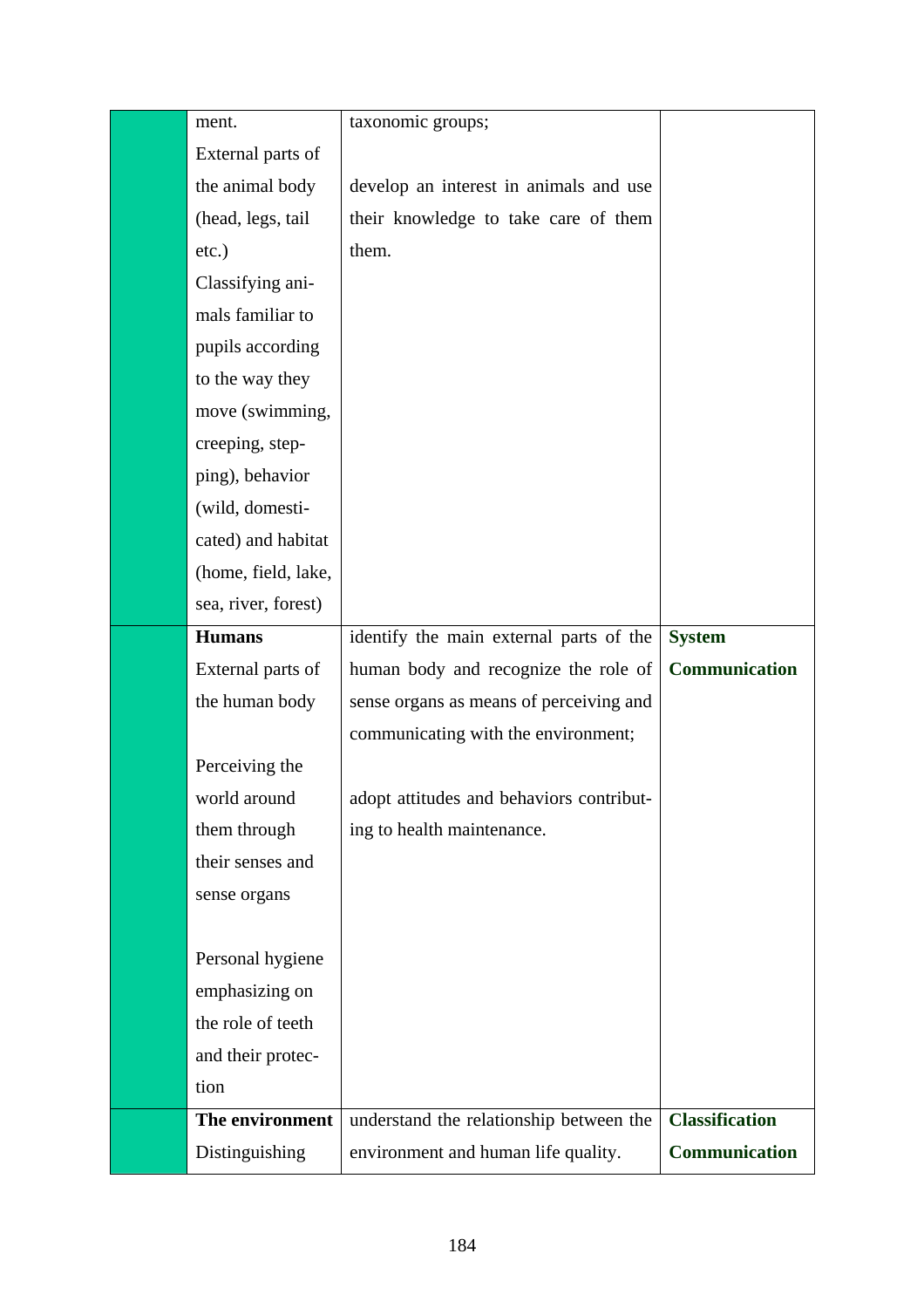| ment.               | taxonomic groups;                        |                       |
|---------------------|------------------------------------------|-----------------------|
| External parts of   |                                          |                       |
| the animal body     | develop an interest in animals and use   |                       |
| (head, legs, tail   | their knowledge to take care of them     |                       |
| etc.)               | them.                                    |                       |
| Classifying ani-    |                                          |                       |
| mals familiar to    |                                          |                       |
| pupils according    |                                          |                       |
| to the way they     |                                          |                       |
| move (swimming,     |                                          |                       |
| creeping, step-     |                                          |                       |
| ping), behavior     |                                          |                       |
| (wild, domesti-     |                                          |                       |
| cated) and habitat  |                                          |                       |
| (home, field, lake, |                                          |                       |
| sea, river, forest) |                                          |                       |
| <b>Humans</b>       | identify the main external parts of the  | <b>System</b>         |
| External parts of   | human body and recognize the role of     | Communication         |
| the human body      | sense organs as means of perceiving and  |                       |
|                     | communicating with the environment;      |                       |
| Perceiving the      |                                          |                       |
| world around        | adopt attitudes and behaviors contribut- |                       |
| them through        | ing to health maintenance.               |                       |
| their senses and    |                                          |                       |
| sense organs        |                                          |                       |
|                     |                                          |                       |
| Personal hygiene    |                                          |                       |
| emphasizing on      |                                          |                       |
| the role of teeth   |                                          |                       |
| and their protec-   |                                          |                       |
| tion                |                                          |                       |
| The environment     | understand the relationship between the  | <b>Classification</b> |
| Distinguishing      | environment and human life quality.      | Communication         |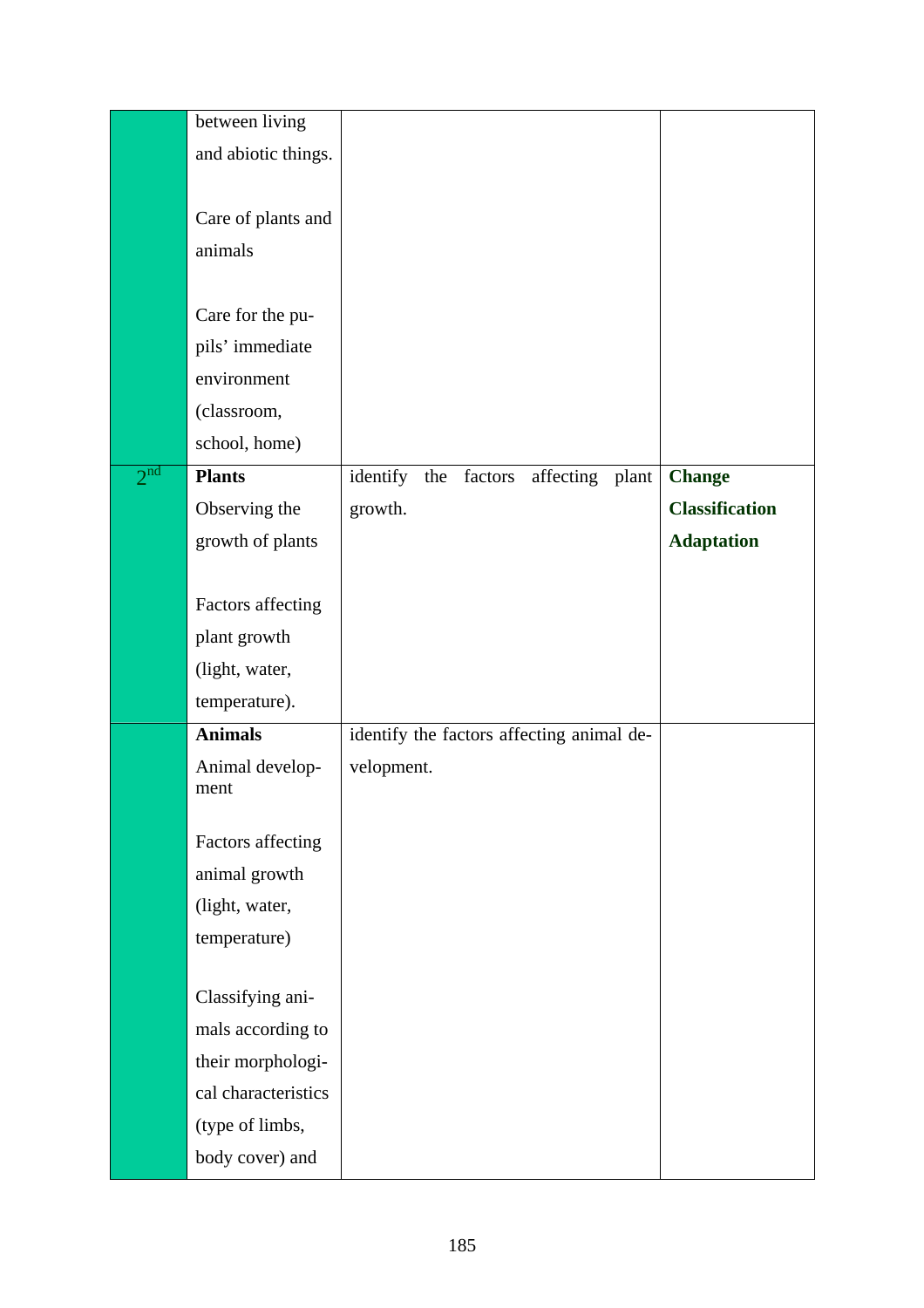|                 | between living      |                                               |                       |
|-----------------|---------------------|-----------------------------------------------|-----------------------|
|                 | and abiotic things. |                                               |                       |
|                 |                     |                                               |                       |
|                 | Care of plants and  |                                               |                       |
|                 | animals             |                                               |                       |
|                 |                     |                                               |                       |
|                 | Care for the pu-    |                                               |                       |
|                 | pils' immediate     |                                               |                       |
|                 | environment         |                                               |                       |
|                 | (classroom,         |                                               |                       |
|                 | school, home)       |                                               |                       |
| 2 <sup>nd</sup> | <b>Plants</b>       | identify<br>affecting plant<br>the<br>factors | <b>Change</b>         |
|                 | Observing the       | growth.                                       | <b>Classification</b> |
|                 | growth of plants    |                                               | <b>Adaptation</b>     |
|                 |                     |                                               |                       |
|                 | Factors affecting   |                                               |                       |
|                 | plant growth        |                                               |                       |
|                 | (light, water,      |                                               |                       |
|                 | temperature).       |                                               |                       |
|                 | <b>Animals</b>      | identify the factors affecting animal de-     |                       |
|                 | Animal develop-     | velopment.                                    |                       |
|                 | ment                |                                               |                       |
|                 | Factors affecting   |                                               |                       |
|                 | animal growth       |                                               |                       |
|                 | (light, water,      |                                               |                       |
|                 | temperature)        |                                               |                       |
|                 |                     |                                               |                       |
|                 | Classifying ani-    |                                               |                       |
|                 | mals according to   |                                               |                       |
|                 | their morphologi-   |                                               |                       |
|                 | cal characteristics |                                               |                       |
|                 | (type of limbs,     |                                               |                       |
|                 | body cover) and     |                                               |                       |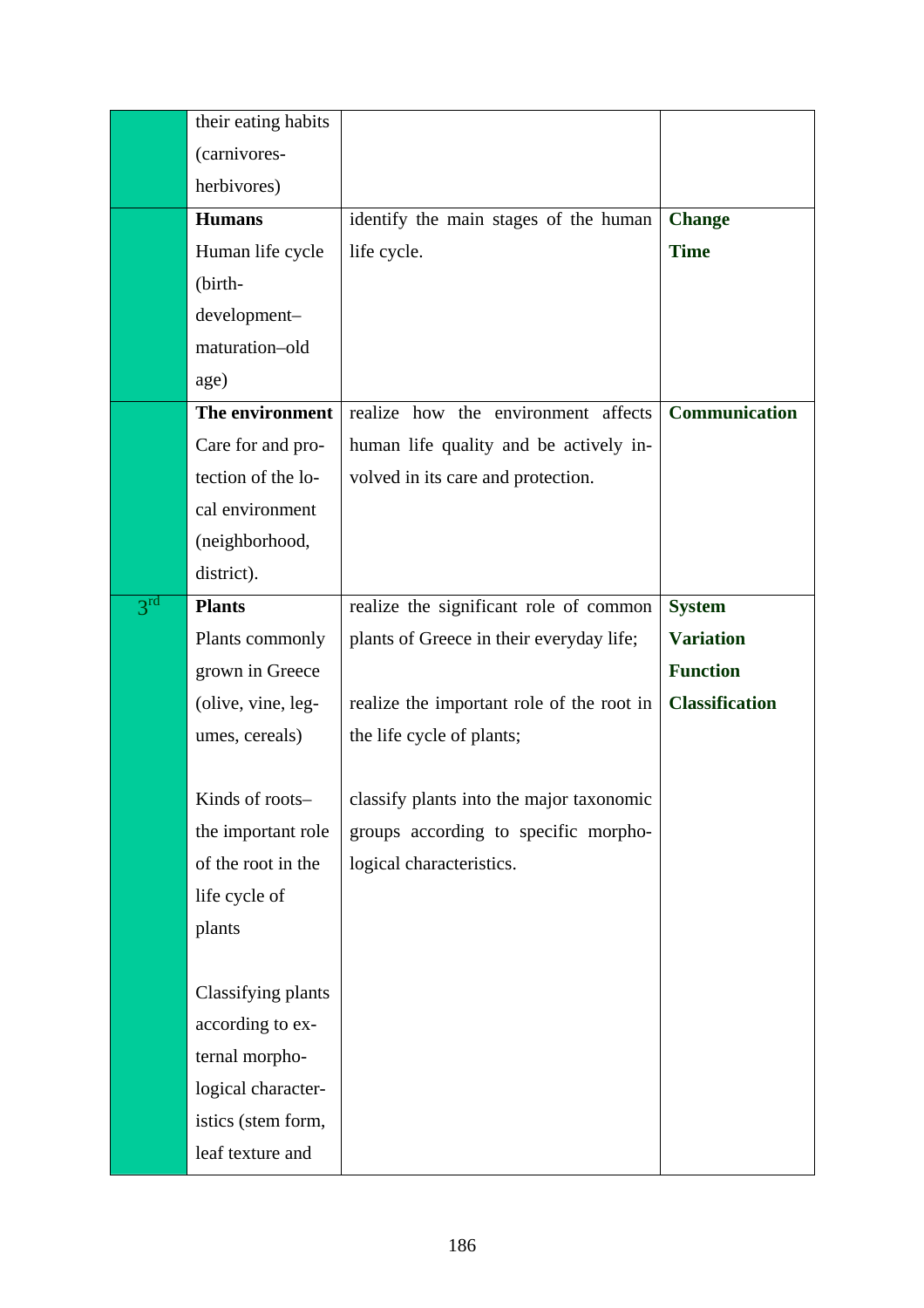|                 | their eating habits |                                           |                       |
|-----------------|---------------------|-------------------------------------------|-----------------------|
|                 | (carnivores-        |                                           |                       |
|                 | herbivores)         |                                           |                       |
|                 | <b>Humans</b>       | identify the main stages of the human     | <b>Change</b>         |
|                 | Human life cycle    | life cycle.                               | <b>Time</b>           |
|                 | (birth-             |                                           |                       |
|                 | development-        |                                           |                       |
|                 | maturation-old      |                                           |                       |
|                 | age)                |                                           |                       |
|                 | The environment     | realize how the environment affects       | Communication         |
|                 | Care for and pro-   | human life quality and be actively in-    |                       |
|                 | tection of the lo-  | volved in its care and protection.        |                       |
|                 | cal environment     |                                           |                       |
|                 | (neighborhood,      |                                           |                       |
|                 | district).          |                                           |                       |
| 3 <sup>rd</sup> | <b>Plants</b>       | realize the significant role of common    | <b>System</b>         |
|                 | Plants commonly     | plants of Greece in their everyday life;  | <b>Variation</b>      |
|                 | grown in Greece     |                                           | <b>Function</b>       |
|                 | (olive, vine, leg-  | realize the important role of the root in | <b>Classification</b> |
|                 | umes, cereals)      | the life cycle of plants;                 |                       |
|                 |                     |                                           |                       |
|                 | Kinds of roots-     | classify plants into the major taxonomic  |                       |
|                 | the important role  | groups according to specific morpho-      |                       |
|                 | of the root in the  | logical characteristics.                  |                       |
|                 | life cycle of       |                                           |                       |
|                 | plants              |                                           |                       |
|                 |                     |                                           |                       |
|                 | Classifying plants  |                                           |                       |
|                 | according to ex-    |                                           |                       |
|                 | ternal morpho-      |                                           |                       |
|                 | logical character-  |                                           |                       |
|                 | istics (stem form,  |                                           |                       |
|                 | leaf texture and    |                                           |                       |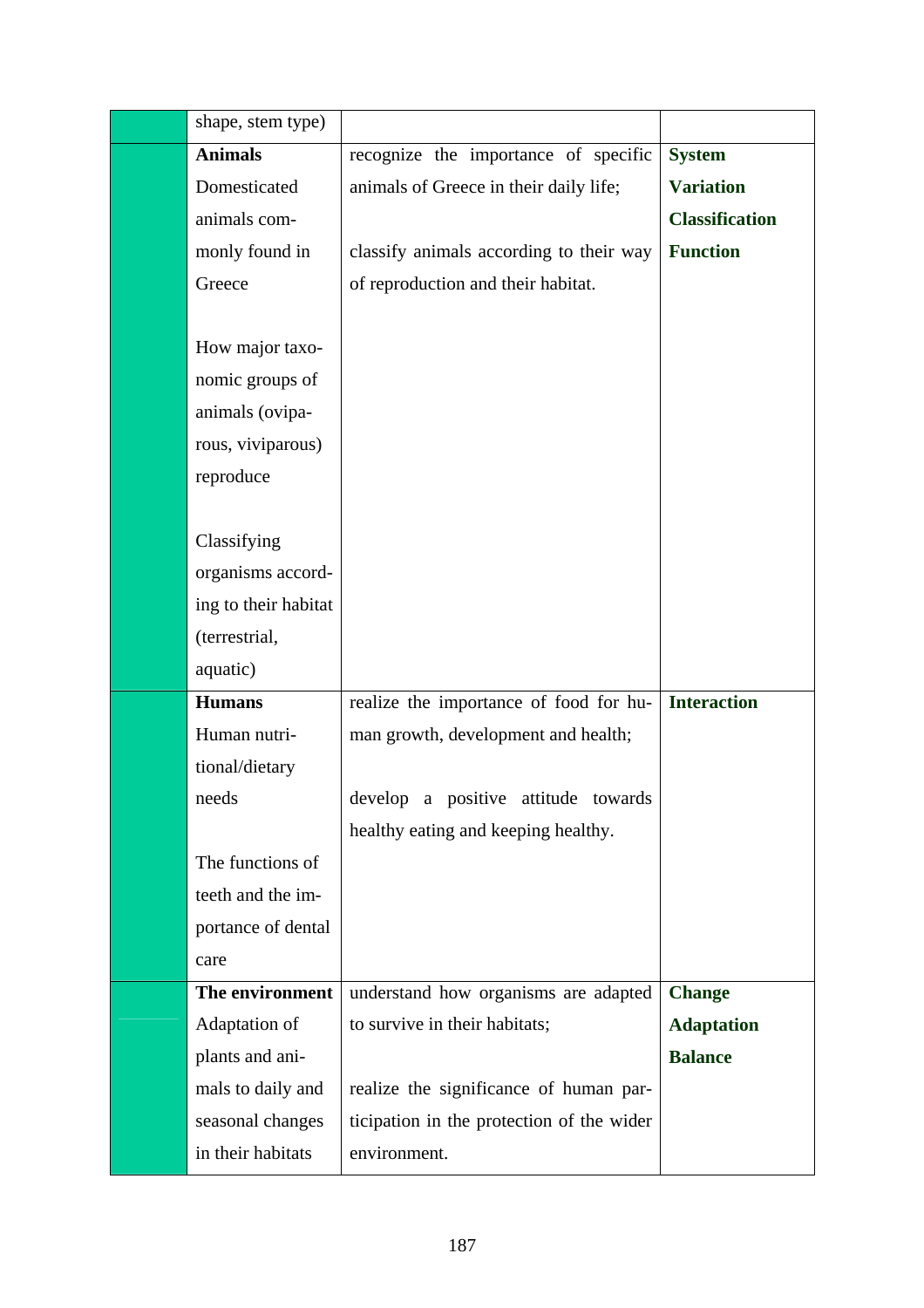| shape, stem type)    |                                           |                       |
|----------------------|-------------------------------------------|-----------------------|
| <b>Animals</b>       | recognize the importance of specific      | <b>System</b>         |
| Domesticated         | animals of Greece in their daily life;    | <b>Variation</b>      |
| animals com-         |                                           | <b>Classification</b> |
| monly found in       | classify animals according to their way   | <b>Function</b>       |
| Greece               | of reproduction and their habitat.        |                       |
|                      |                                           |                       |
| How major taxo-      |                                           |                       |
| nomic groups of      |                                           |                       |
| animals (ovipa-      |                                           |                       |
| rous, viviparous)    |                                           |                       |
| reproduce            |                                           |                       |
|                      |                                           |                       |
| Classifying          |                                           |                       |
| organisms accord-    |                                           |                       |
| ing to their habitat |                                           |                       |
| (terrestrial,        |                                           |                       |
| aquatic)             |                                           |                       |
| <b>Humans</b>        | realize the importance of food for hu-    | <b>Interaction</b>    |
| Human nutri-         | man growth, development and health;       |                       |
| tional/dietary       |                                           |                       |
| needs                | develop a positive attitude towards       |                       |
|                      | healthy eating and keeping healthy.       |                       |
| The functions of     |                                           |                       |
| teeth and the im-    |                                           |                       |
| portance of dental   |                                           |                       |
| care                 |                                           |                       |
| The environment      | understand how organisms are adapted      | <b>Change</b>         |
| Adaptation of        | to survive in their habitats;             | <b>Adaptation</b>     |
| plants and ani-      |                                           | <b>Balance</b>        |
| mals to daily and    | realize the significance of human par-    |                       |
| seasonal changes     | ticipation in the protection of the wider |                       |
| in their habitats    | environment.                              |                       |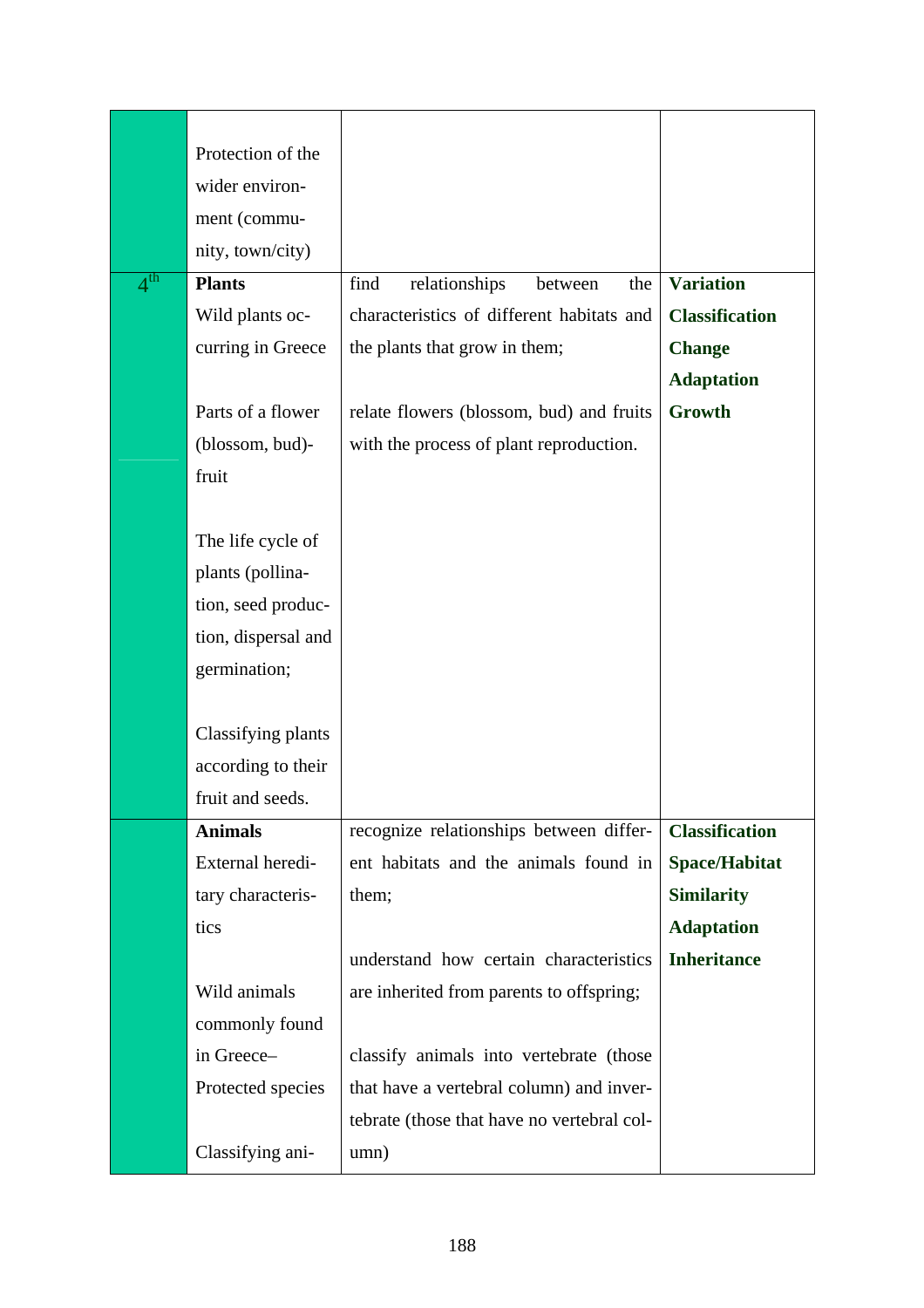|              | Protection of the   |                                            |                       |
|--------------|---------------------|--------------------------------------------|-----------------------|
|              | wider environ-      |                                            |                       |
|              | ment (commu-        |                                            |                       |
|              | nity, town/city)    |                                            |                       |
| $4^{\rm th}$ | <b>Plants</b>       | find<br>relationships<br>the<br>between    | <b>Variation</b>      |
|              | Wild plants oc-     | characteristics of different habitats and  | <b>Classification</b> |
|              | curring in Greece   | the plants that grow in them;              | <b>Change</b>         |
|              |                     |                                            | <b>Adaptation</b>     |
|              | Parts of a flower   | relate flowers (blossom, bud) and fruits   | Growth                |
|              | (blossom, bud)-     | with the process of plant reproduction.    |                       |
|              | fruit               |                                            |                       |
|              |                     |                                            |                       |
|              | The life cycle of   |                                            |                       |
|              | plants (pollina-    |                                            |                       |
|              | tion, seed produc-  |                                            |                       |
|              | tion, dispersal and |                                            |                       |
|              | germination;        |                                            |                       |
|              |                     |                                            |                       |
|              | Classifying plants  |                                            |                       |
|              | according to their  |                                            |                       |
|              | fruit and seeds.    |                                            |                       |
|              | <b>Animals</b>      | recognize relationships between differ-    | <b>Classification</b> |
|              | External heredi-    | ent habitats and the animals found in      | <b>Space/Habitat</b>  |
|              | tary characteris-   | them;                                      | <b>Similarity</b>     |
|              | tics                |                                            | <b>Adaptation</b>     |
|              |                     | understand how certain characteristics     | <b>Inheritance</b>    |
|              | Wild animals        | are inherited from parents to offspring;   |                       |
|              | commonly found      |                                            |                       |
|              | in Greece-          | classify animals into vertebrate (those    |                       |
|              | Protected species   | that have a vertebral column) and inver-   |                       |
|              |                     | tebrate (those that have no vertebral col- |                       |
|              | Classifying ani-    | umn)                                       |                       |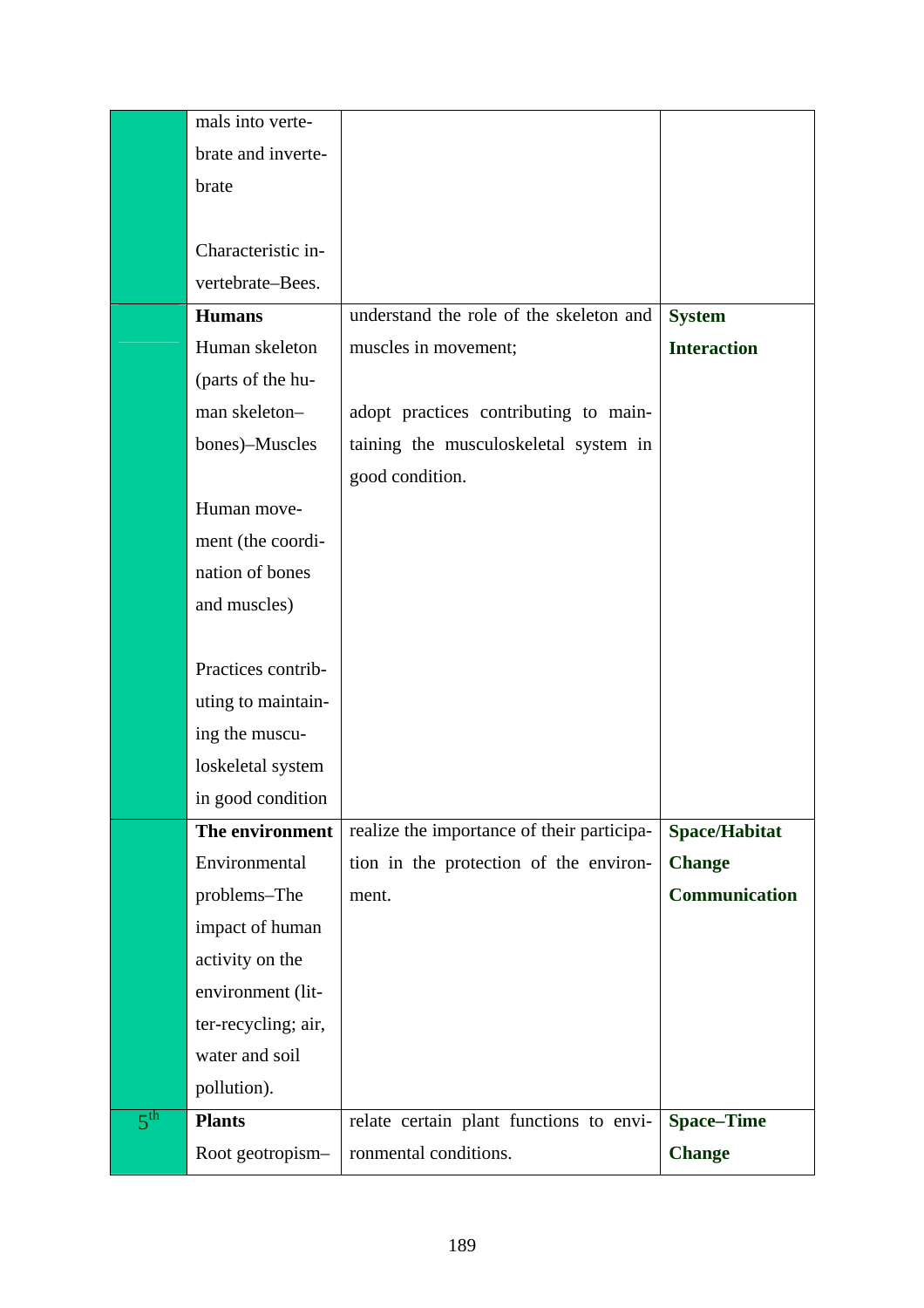|                 | mals into verte-    |                                            |                      |
|-----------------|---------------------|--------------------------------------------|----------------------|
|                 | brate and inverte-  |                                            |                      |
|                 | brate               |                                            |                      |
|                 |                     |                                            |                      |
|                 | Characteristic in-  |                                            |                      |
|                 | vertebrate-Bees.    |                                            |                      |
|                 | <b>Humans</b>       | understand the role of the skeleton and    | <b>System</b>        |
|                 | Human skeleton      | muscles in movement;                       | <b>Interaction</b>   |
|                 | (parts of the hu-   |                                            |                      |
|                 | man skeleton-       | adopt practices contributing to main-      |                      |
|                 | bones)-Muscles      | taining the musculoskeletal system in      |                      |
|                 |                     | good condition.                            |                      |
|                 | Human move-         |                                            |                      |
|                 | ment (the coordi-   |                                            |                      |
|                 | nation of bones     |                                            |                      |
|                 | and muscles)        |                                            |                      |
|                 |                     |                                            |                      |
|                 | Practices contrib-  |                                            |                      |
|                 | uting to maintain-  |                                            |                      |
|                 | ing the muscu-      |                                            |                      |
|                 | loskeletal system   |                                            |                      |
|                 | in good condition   |                                            |                      |
|                 | The environment     | realize the importance of their participa- | <b>Space/Habitat</b> |
|                 | Environmental       | tion in the protection of the environ-     | <b>Change</b>        |
|                 | problems-The        | ment.                                      | Communication        |
|                 | impact of human     |                                            |                      |
|                 | activity on the     |                                            |                      |
|                 | environment (lit-   |                                            |                      |
|                 | ter-recycling; air, |                                            |                      |
|                 | water and soil      |                                            |                      |
|                 | pollution).         |                                            |                      |
| $5^{\text{th}}$ | <b>Plants</b>       | relate certain plant functions to envi-    | <b>Space-Time</b>    |
|                 | Root geotropism-    | ronmental conditions.                      | <b>Change</b>        |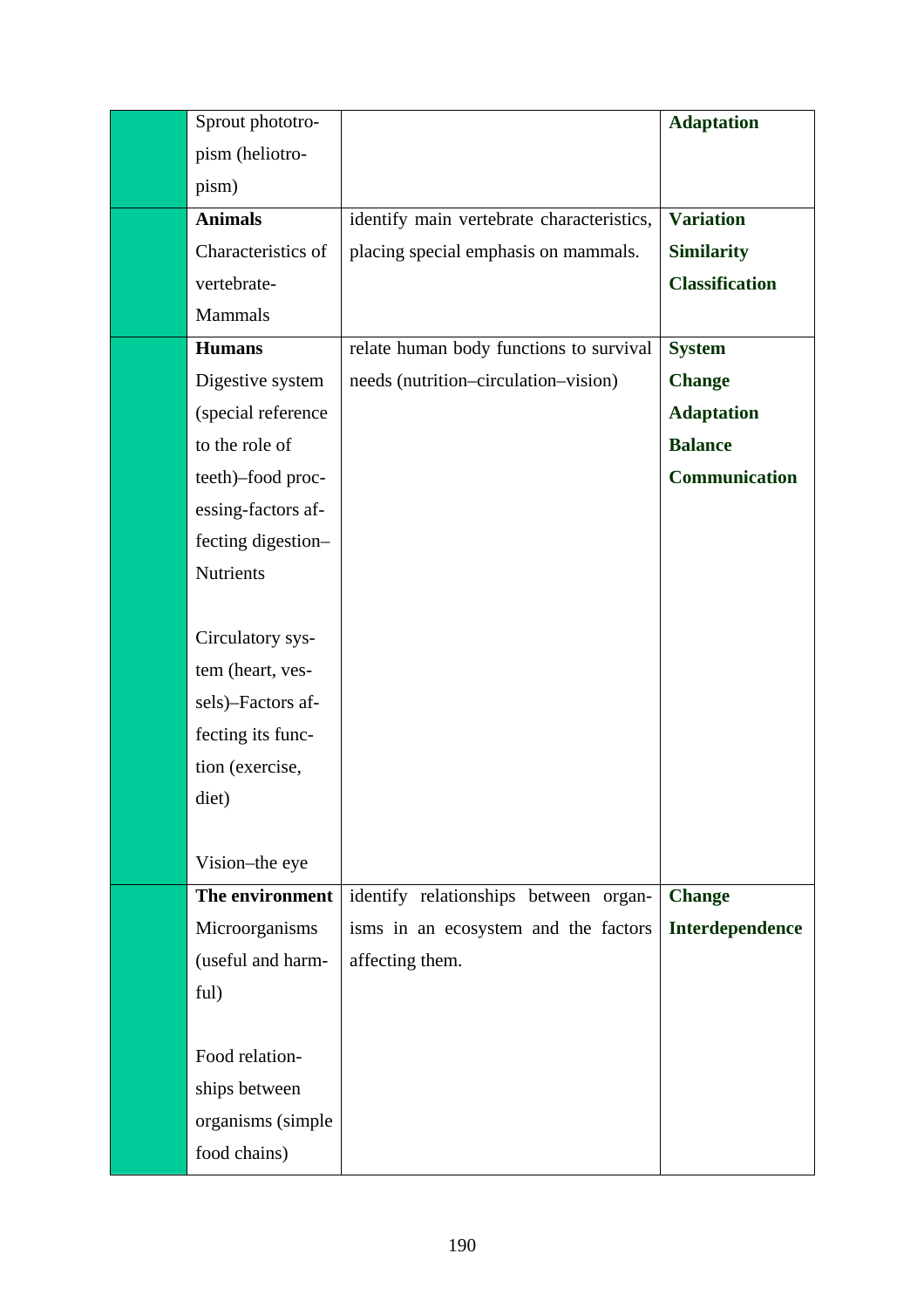| Sprout phototro-   |                                           | <b>Adaptation</b>     |
|--------------------|-------------------------------------------|-----------------------|
| pism (heliotro-    |                                           |                       |
| pism)              |                                           |                       |
| <b>Animals</b>     | identify main vertebrate characteristics, | <b>Variation</b>      |
| Characteristics of | placing special emphasis on mammals.      | <b>Similarity</b>     |
| vertebrate-        |                                           | <b>Classification</b> |
| Mammals            |                                           |                       |
| <b>Humans</b>      | relate human body functions to survival   | <b>System</b>         |
| Digestive system   | needs (nutrition–circulation–vision)      | <b>Change</b>         |
| (special reference |                                           | <b>Adaptation</b>     |
| to the role of     |                                           | <b>Balance</b>        |
| teeth)-food proc-  |                                           | <b>Communication</b>  |
| essing-factors af- |                                           |                       |
| fecting digestion- |                                           |                       |
| Nutrients          |                                           |                       |
|                    |                                           |                       |
| Circulatory sys-   |                                           |                       |
| tem (heart, ves-   |                                           |                       |
| sels)-Factors af-  |                                           |                       |
| fecting its func-  |                                           |                       |
| tion (exercise,    |                                           |                       |
| diet)              |                                           |                       |
|                    |                                           |                       |
| Vision-the eye     |                                           |                       |
| The environment    | identify relationships between organ-     | <b>Change</b>         |
| Microorganisms     | isms in an ecosystem and the factors      | Interdependence       |
| (useful and harm-  | affecting them.                           |                       |
| ful)               |                                           |                       |
|                    |                                           |                       |
| Food relation-     |                                           |                       |
| ships between      |                                           |                       |
| organisms (simple  |                                           |                       |
| food chains)       |                                           |                       |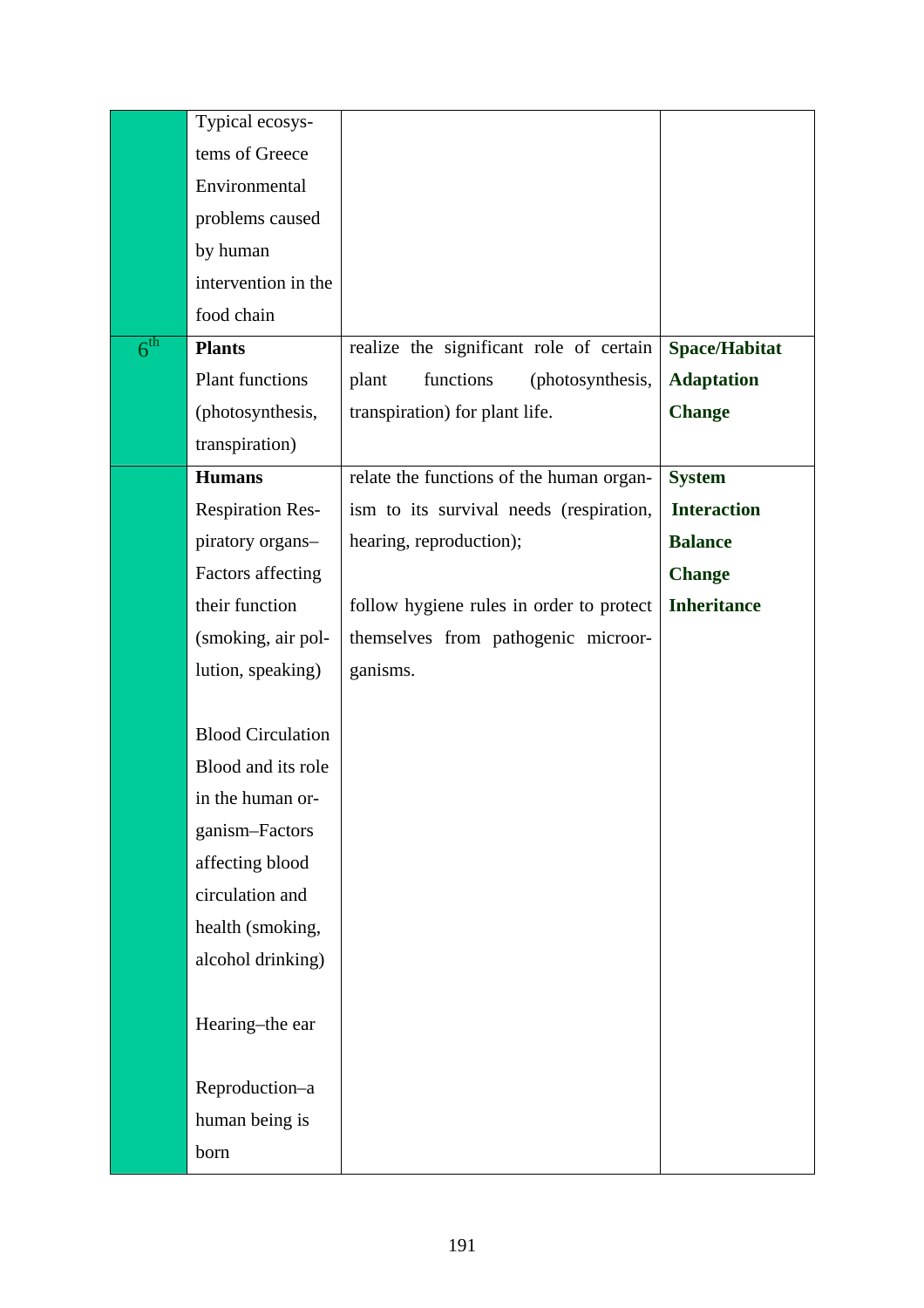|                 | Typical ecosys-          |                                          |                    |
|-----------------|--------------------------|------------------------------------------|--------------------|
|                 | tems of Greece           |                                          |                    |
|                 | Environmental            |                                          |                    |
|                 | problems caused          |                                          |                    |
|                 | by human                 |                                          |                    |
|                 | intervention in the      |                                          |                    |
|                 | food chain               |                                          |                    |
| $6^{\text{th}}$ | <b>Plants</b>            | realize the significant role of certain  | Space/Habitat      |
|                 | <b>Plant functions</b>   | functions<br>plant<br>(photosynthesis,   | <b>Adaptation</b>  |
|                 | (photosynthesis,         | transpiration) for plant life.           | <b>Change</b>      |
|                 | transpiration)           |                                          |                    |
|                 | <b>Humans</b>            | relate the functions of the human organ- | <b>System</b>      |
|                 | <b>Respiration Res-</b>  | ism to its survival needs (respiration,  | <b>Interaction</b> |
|                 | piratory organs-         | hearing, reproduction);                  | <b>Balance</b>     |
|                 | Factors affecting        |                                          | <b>Change</b>      |
|                 | their function           | follow hygiene rules in order to protect | <b>Inheritance</b> |
|                 | (smoking, air pol-       | themselves from pathogenic microor-      |                    |
|                 | lution, speaking)        | ganisms.                                 |                    |
|                 |                          |                                          |                    |
|                 | <b>Blood Circulation</b> |                                          |                    |
|                 | Blood and its role       |                                          |                    |
|                 | in the human or-         |                                          |                    |
|                 | ganism-Factors           |                                          |                    |
|                 | affecting blood          |                                          |                    |
|                 | circulation and          |                                          |                    |
|                 | health (smoking,         |                                          |                    |
|                 | alcohol drinking)        |                                          |                    |
|                 |                          |                                          |                    |
|                 | Hearing-the ear          |                                          |                    |
|                 |                          |                                          |                    |
|                 | Reproduction-a           |                                          |                    |
|                 | human being is           |                                          |                    |
|                 | born                     |                                          |                    |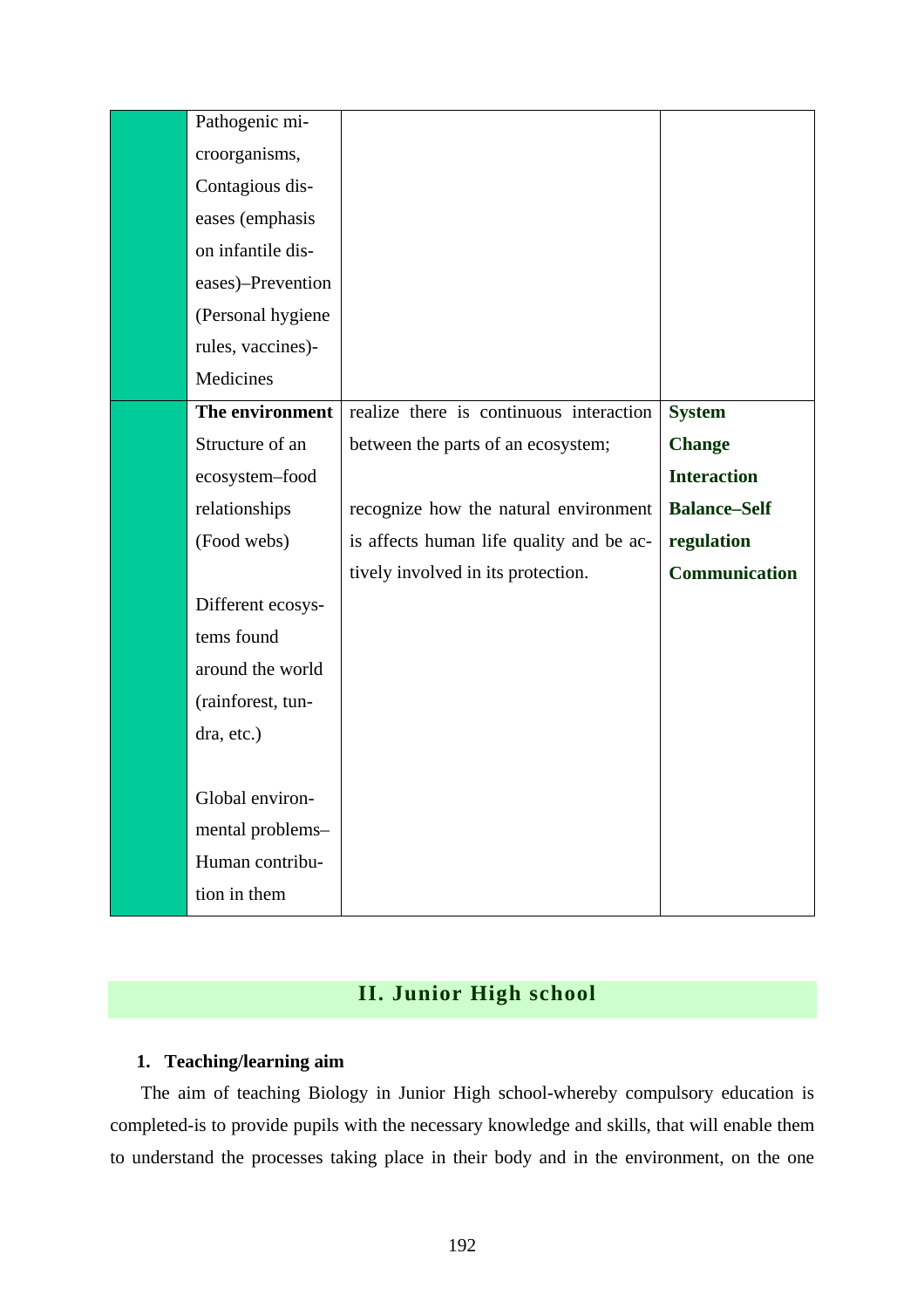| Pathogenic mi-    |                                          |                      |
|-------------------|------------------------------------------|----------------------|
| croorganisms,     |                                          |                      |
| Contagious dis-   |                                          |                      |
| eases (emphasis   |                                          |                      |
| on infantile dis- |                                          |                      |
| eases)-Prevention |                                          |                      |
| (Personal hygiene |                                          |                      |
| rules, vaccines)- |                                          |                      |
| Medicines         |                                          |                      |
| The environment   | realize there is continuous interaction  | <b>System</b>        |
| Structure of an   | between the parts of an ecosystem;       | <b>Change</b>        |
| ecosystem-food    |                                          | <b>Interaction</b>   |
| relationships     | recognize how the natural environment    | <b>Balance-Self</b>  |
| (Food webs)       | is affects human life quality and be ac- | regulation           |
|                   | tively involved in its protection.       | <b>Communication</b> |
| Different ecosys- |                                          |                      |
| tems found        |                                          |                      |
| around the world  |                                          |                      |
| (rainforest, tun- |                                          |                      |
| dra, etc.)        |                                          |                      |
|                   |                                          |                      |
| Global environ-   |                                          |                      |
| mental problems-  |                                          |                      |
| Human contribu-   |                                          |                      |
| tion in them      |                                          |                      |

# **II. Junior High school**

## **1. Teaching/learning aim**

The aim of teaching Biology in Junior High school-whereby compulsory education is completed-is to provide pupils with the necessary knowledge and skills, that will enable them to understand the processes taking place in their body and in the environment, on the one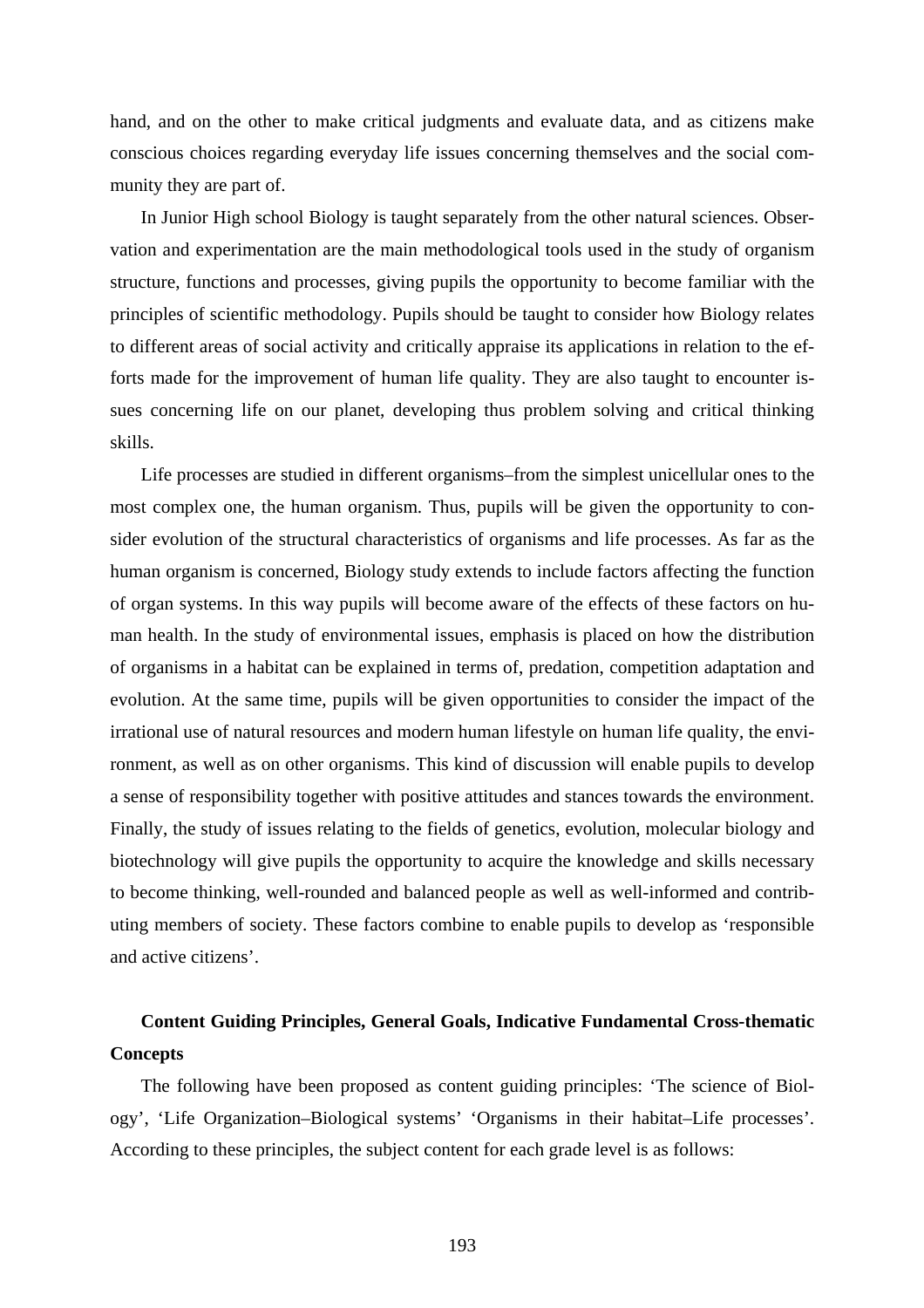hand, and on the other to make critical judgments and evaluate data, and as citizens make conscious choices regarding everyday life issues concerning themselves and the social community they are part of.

In Junior High school Biology is taught separately from the other natural sciences. Observation and experimentation are the main methodological tools used in the study of organism structure, functions and processes, giving pupils the opportunity to become familiar with the principles of scientific methodology. Pupils should be taught to consider how Biology relates to different areas of social activity and critically appraise its applications in relation to the efforts made for the improvement of human life quality. They are also taught to encounter issues concerning life on our planet, developing thus problem solving and critical thinking skills.

Life processes are studied in different organisms–from the simplest unicellular ones to the most complex one, the human organism. Thus, pupils will be given the opportunity to consider evolution of the structural characteristics of organisms and life processes. As far as the human organism is concerned, Biology study extends to include factors affecting the function of organ systems. In this way pupils will become aware of the effects of these factors on human health. In the study of environmental issues, emphasis is placed on how the distribution of organisms in a habitat can be explained in terms of, predation, competition adaptation and evolution. At the same time, pupils will be given opportunities to consider the impact of the irrational use of natural resources and modern human lifestyle on human life quality, the environment, as well as on other organisms. This kind of discussion will enable pupils to develop a sense of responsibility together with positive attitudes and stances towards the environment. Finally, the study of issues relating to the fields of genetics, evolution, molecular biology and biotechnology will give pupils the opportunity to acquire the knowledge and skills necessary to become thinking, well-rounded and balanced people as well as well-informed and contributing members of society. These factors combine to enable pupils to develop as 'responsible and active citizens'.

# **Content Guiding Principles, General Goals, Indicative Fundamental Cross-thematic Concepts**

The following have been proposed as content guiding principles: 'The science of Biology', 'Life Organization–Biological systems' 'Organisms in their habitat–Life processes'. According to these principles, the subject content for each grade level is as follows: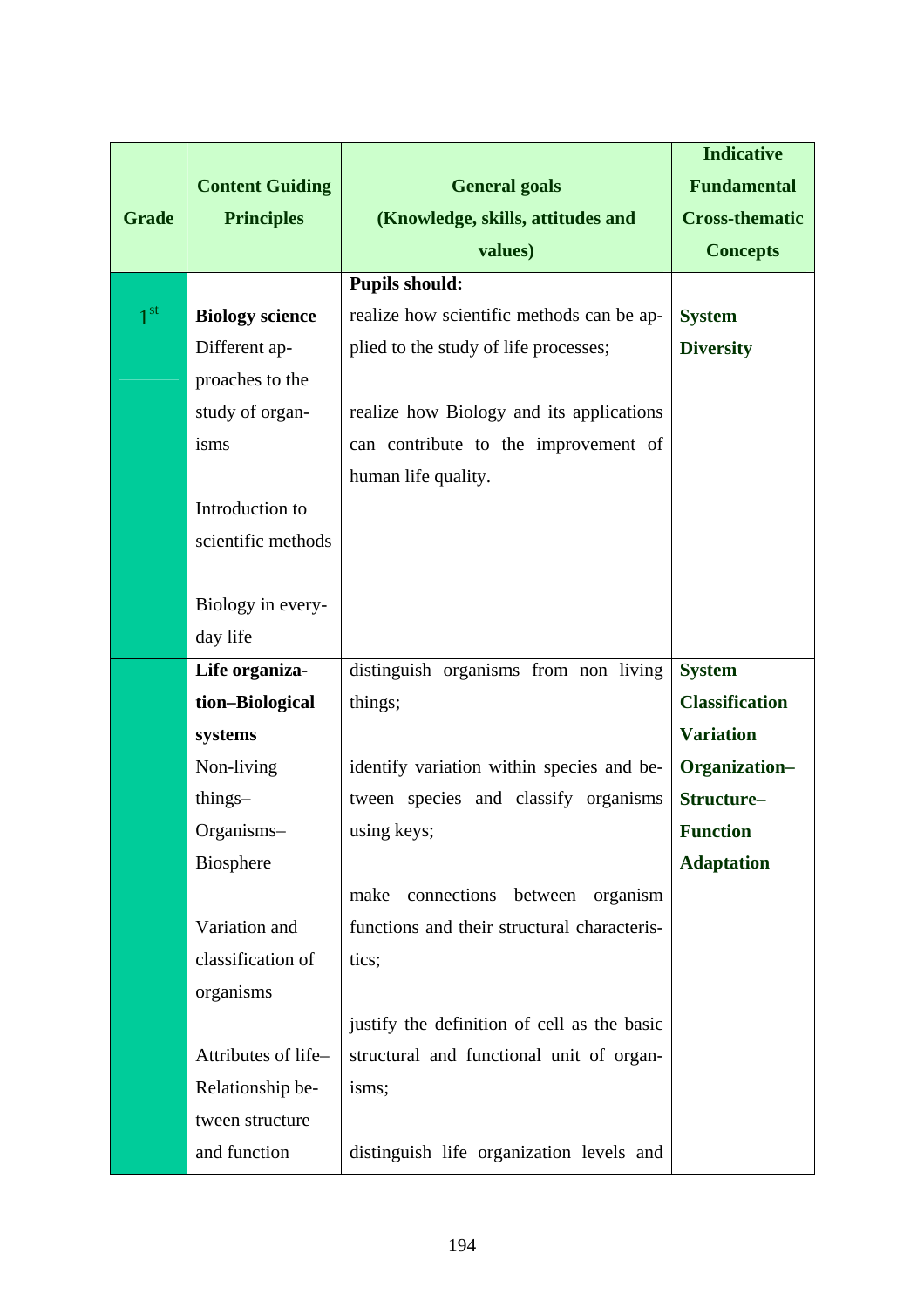|                 |                        |                                             | <b>Indicative</b>     |
|-----------------|------------------------|---------------------------------------------|-----------------------|
|                 | <b>Content Guiding</b> | <b>General goals</b>                        | <b>Fundamental</b>    |
| <b>Grade</b>    | <b>Principles</b>      | (Knowledge, skills, attitudes and           | <b>Cross-thematic</b> |
|                 |                        | values)                                     | <b>Concepts</b>       |
|                 |                        | <b>Pupils should:</b>                       |                       |
| 1 <sup>st</sup> | <b>Biology science</b> | realize how scientific methods can be ap-   | <b>System</b>         |
|                 | Different ap-          | plied to the study of life processes;       | <b>Diversity</b>      |
|                 | proaches to the        |                                             |                       |
|                 | study of organ-        | realize how Biology and its applications    |                       |
|                 | isms                   | can contribute to the improvement of        |                       |
|                 |                        | human life quality.                         |                       |
|                 | Introduction to        |                                             |                       |
|                 | scientific methods     |                                             |                       |
|                 |                        |                                             |                       |
|                 | Biology in every-      |                                             |                       |
|                 | day life               |                                             |                       |
|                 | Life organiza-         | distinguish organisms from non living       | <b>System</b>         |
|                 | tion-Biological        | things;                                     | <b>Classification</b> |
|                 | systems                |                                             | <b>Variation</b>      |
|                 | Non-living             | identify variation within species and be-   | Organization-         |
|                 | things-                | tween species and classify organisms        | Structure-            |
|                 | Organisms-             | using keys;                                 | <b>Function</b>       |
|                 | Biosphere              |                                             | <b>Adaptation</b>     |
|                 |                        | connections<br>make<br>between<br>organism  |                       |
|                 | Variation and          | functions and their structural characteris- |                       |
|                 | classification of      | tics;                                       |                       |
|                 | organisms              |                                             |                       |
|                 |                        | justify the definition of cell as the basic |                       |
|                 | Attributes of life-    | structural and functional unit of organ-    |                       |
|                 | Relationship be-       | isms;                                       |                       |
|                 | tween structure        |                                             |                       |
|                 | and function           | distinguish life organization levels and    |                       |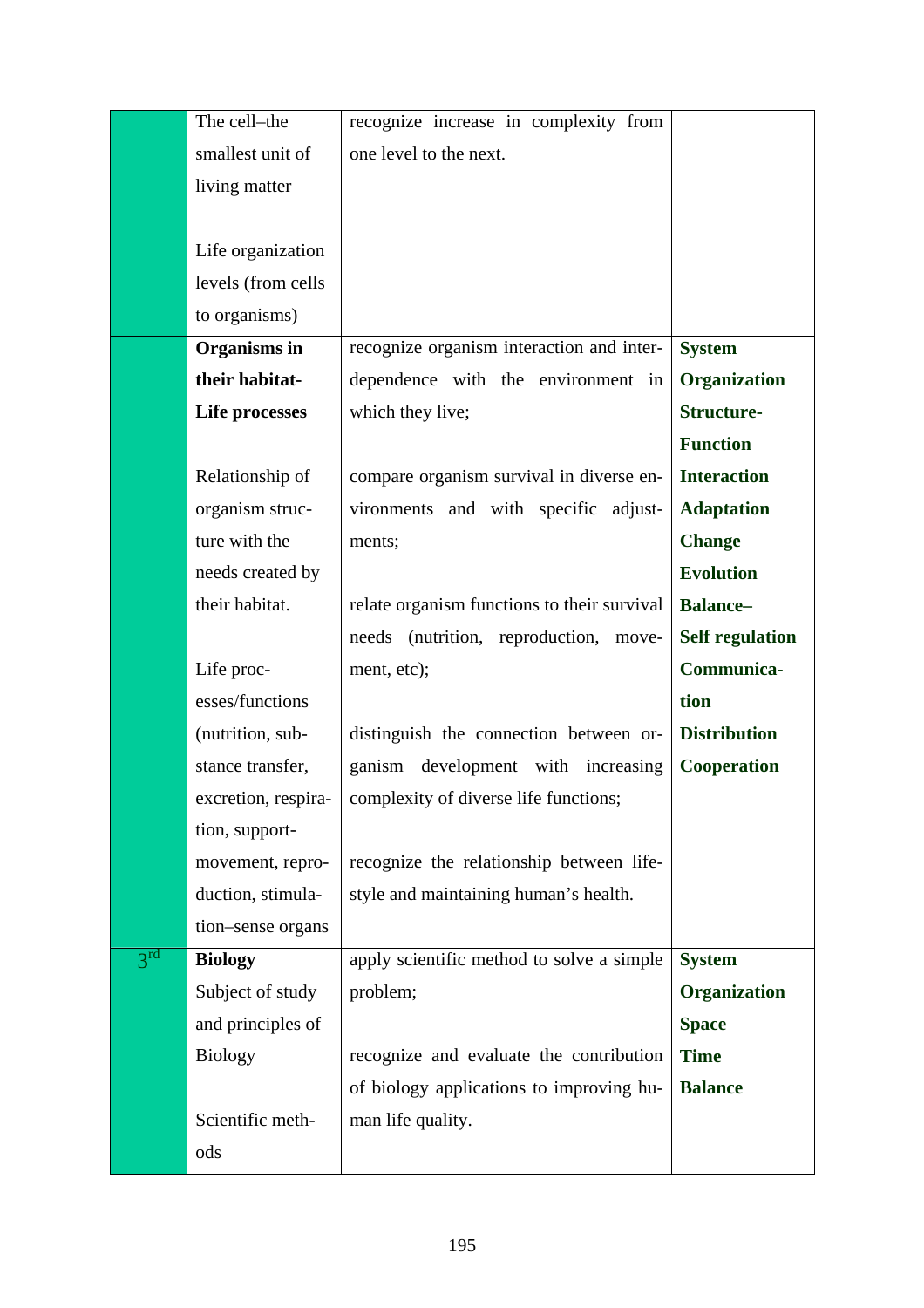|                            | The cell-the        | recognize increase in complexity from       |                        |
|----------------------------|---------------------|---------------------------------------------|------------------------|
|                            | smallest unit of    | one level to the next.                      |                        |
|                            | living matter       |                                             |                        |
|                            |                     |                                             |                        |
|                            | Life organization   |                                             |                        |
|                            | levels (from cells  |                                             |                        |
|                            | to organisms)       |                                             |                        |
|                            | Organisms in        | recognize organism interaction and inter-   | <b>System</b>          |
|                            | their habitat-      | dependence with the environment in          | <b>Organization</b>    |
|                            | Life processes      | which they live;                            | <b>Structure-</b>      |
|                            |                     |                                             | <b>Function</b>        |
|                            | Relationship of     | compare organism survival in diverse en-    | <b>Interaction</b>     |
|                            | organism struc-     | vironments and with specific adjust-        | <b>Adaptation</b>      |
|                            | ture with the       | ments;                                      | <b>Change</b>          |
|                            | needs created by    |                                             | <b>Evolution</b>       |
|                            | their habitat.      | relate organism functions to their survival | <b>Balance-</b>        |
|                            |                     | needs (nutrition, reproduction,<br>move-    | <b>Self regulation</b> |
|                            | Life proc-          | ment, etc);                                 | Communica-             |
|                            | esses/functions     |                                             | tion                   |
|                            | (nutrition, sub-    | distinguish the connection between or-      | <b>Distribution</b>    |
|                            | stance transfer,    | ganism<br>development with increasing       | <b>Cooperation</b>     |
|                            | excretion, respira- | complexity of diverse life functions;       |                        |
|                            | tion, support-      |                                             |                        |
|                            | movement, repro-    | recognize the relationship between life-    |                        |
|                            | duction, stimula-   | style and maintaining human's health.       |                        |
|                            | tion-sense organs   |                                             |                        |
| $3^{\overline{\text{rd}}}$ | <b>Biology</b>      | apply scientific method to solve a simple   | <b>System</b>          |
|                            | Subject of study    | problem;                                    | <b>Organization</b>    |
|                            | and principles of   |                                             | <b>Space</b>           |
|                            | <b>Biology</b>      | recognize and evaluate the contribution     | <b>Time</b>            |
|                            |                     | of biology applications to improving hu-    | <b>Balance</b>         |
|                            | Scientific meth-    | man life quality.                           |                        |
|                            | ods                 |                                             |                        |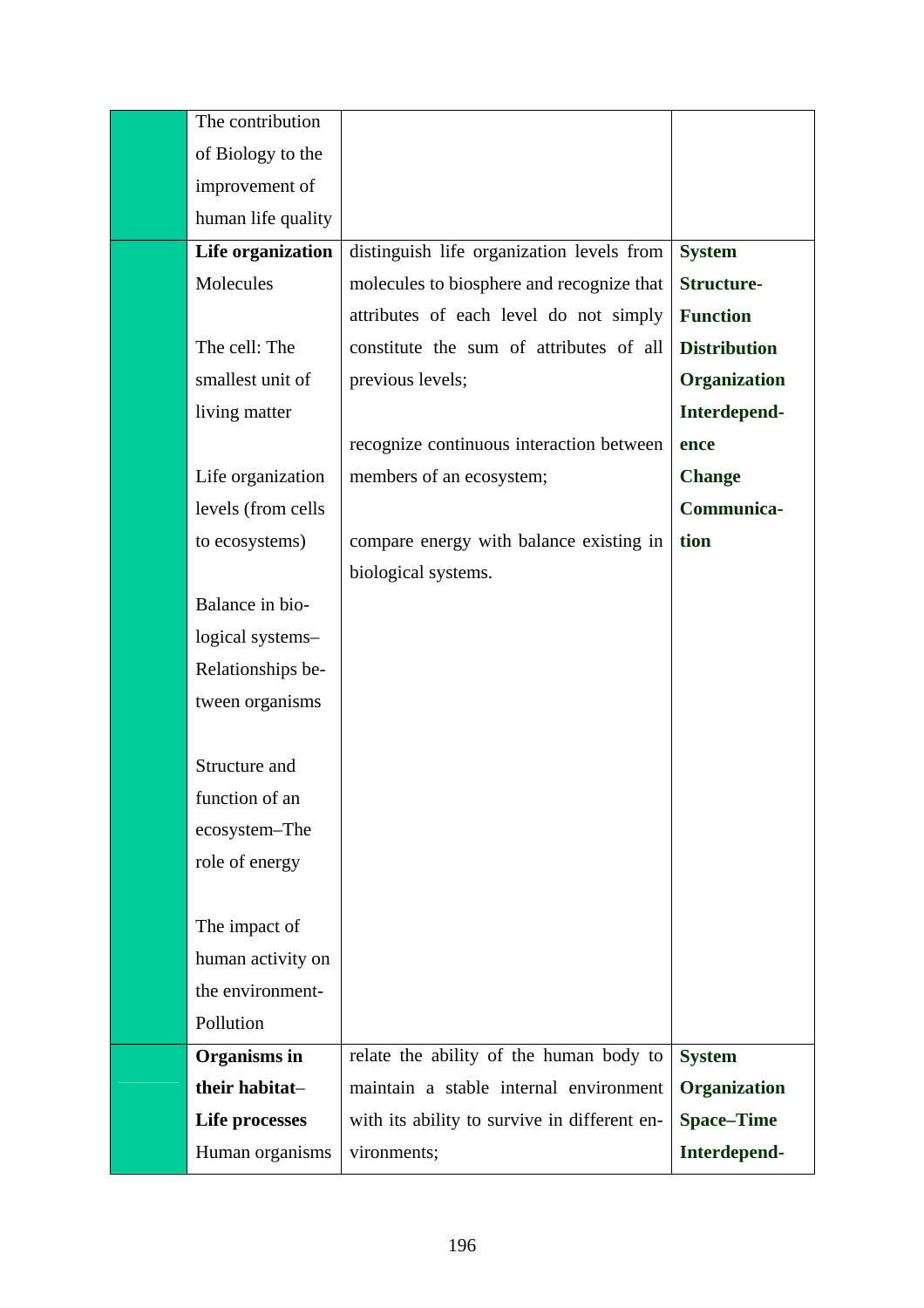| The contribution   |                                              |                     |
|--------------------|----------------------------------------------|---------------------|
| of Biology to the  |                                              |                     |
| improvement of     |                                              |                     |
| human life quality |                                              |                     |
| Life organization  | distinguish life organization levels from    | <b>System</b>       |
| Molecules          | molecules to biosphere and recognize that    | <b>Structure-</b>   |
|                    | attributes of each level do not simply       | <b>Function</b>     |
| The cell: The      | constitute the sum of attributes of all      | <b>Distribution</b> |
| smallest unit of   | previous levels;                             | Organization        |
| living matter      |                                              | Interdepend-        |
|                    | recognize continuous interaction between     | ence                |
| Life organization  | members of an ecosystem;                     | <b>Change</b>       |
| levels (from cells |                                              | Communica-          |
| to ecosystems)     | compare energy with balance existing in      | tion                |
|                    | biological systems.                          |                     |
| Balance in bio-    |                                              |                     |
| logical systems-   |                                              |                     |
| Relationships be-  |                                              |                     |
| tween organisms    |                                              |                     |
|                    |                                              |                     |
| Structure and      |                                              |                     |
| function of an     |                                              |                     |
| ecosystem-The      |                                              |                     |
| role of energy     |                                              |                     |
|                    |                                              |                     |
| The impact of      |                                              |                     |
| human activity on  |                                              |                     |
| the environment-   |                                              |                     |
| Pollution          |                                              |                     |
| Organisms in       | relate the ability of the human body to      | <b>System</b>       |
| their habitat-     | maintain a stable internal environment       | Organization        |
| Life processes     | with its ability to survive in different en- | <b>Space-Time</b>   |
| Human organisms    | vironments;                                  | Interdepend-        |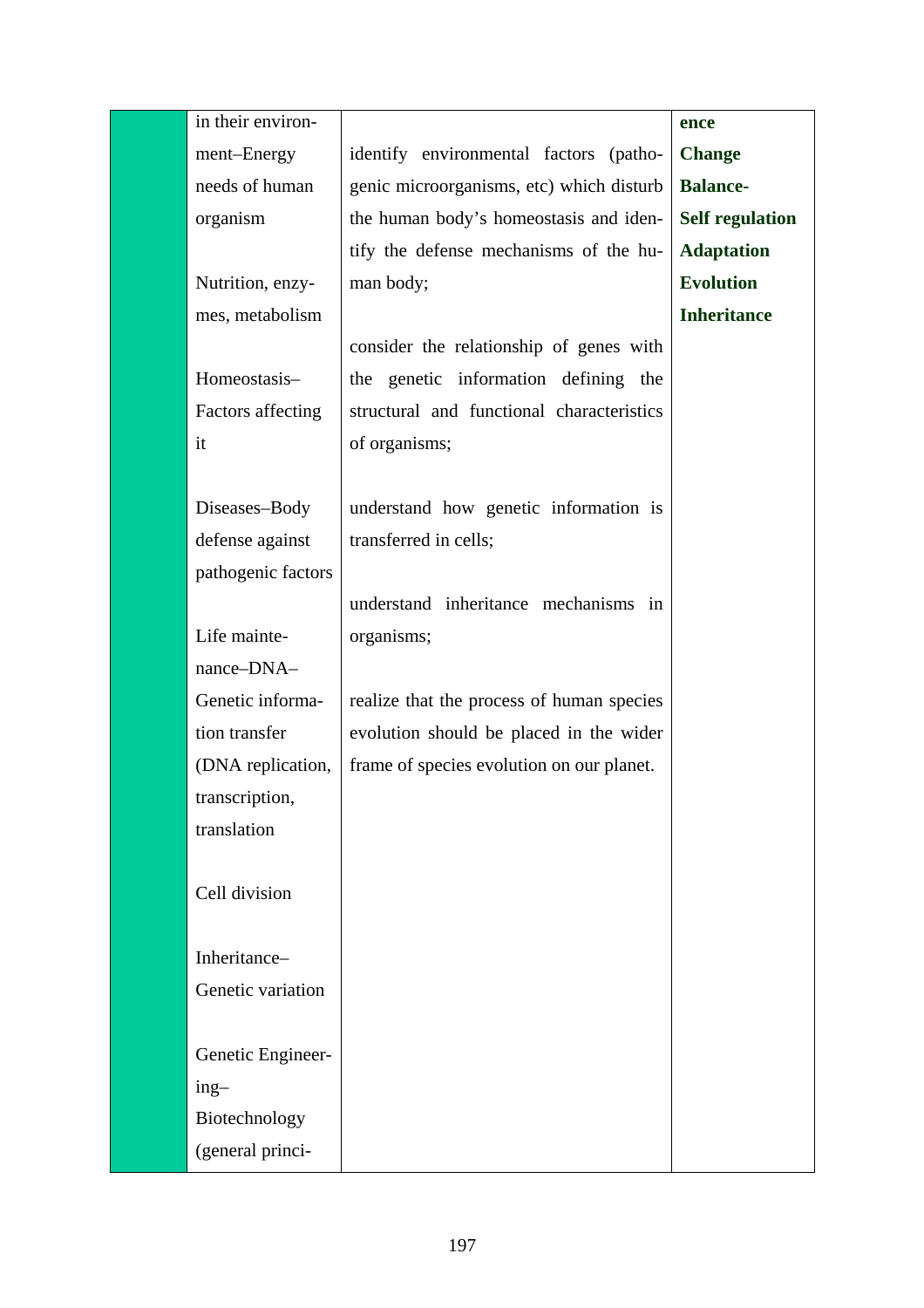| in their environ-  |                                           | ence                   |
|--------------------|-------------------------------------------|------------------------|
| ment-Energy        | identify environmental factors (patho-    | <b>Change</b>          |
| needs of human     | genic microorganisms, etc) which disturb  | <b>Balance-</b>        |
| organism           | the human body's homeostasis and iden-    | <b>Self regulation</b> |
|                    | tify the defense mechanisms of the hu-    | <b>Adaptation</b>      |
| Nutrition, enzy-   | man body;                                 | <b>Evolution</b>       |
| mes, metabolism    |                                           | <b>Inheritance</b>     |
|                    | consider the relationship of genes with   |                        |
| Homeostasis-       | the genetic information defining the      |                        |
| Factors affecting  | structural and functional characteristics |                        |
| it                 | of organisms;                             |                        |
|                    |                                           |                        |
| Diseases-Body      | understand how genetic information is     |                        |
| defense against    | transferred in cells;                     |                        |
| pathogenic factors |                                           |                        |
|                    | understand inheritance mechanisms in      |                        |
| Life mainte-       | organisms;                                |                        |
| nance-DNA-         |                                           |                        |
| Genetic informa-   | realize that the process of human species |                        |
| tion transfer      | evolution should be placed in the wider   |                        |
| (DNA replication,  | frame of species evolution on our planet. |                        |
| transcription,     |                                           |                        |
| translation        |                                           |                        |
|                    |                                           |                        |
| Cell division      |                                           |                        |
|                    |                                           |                        |
| Inheritance-       |                                           |                        |
| Genetic variation  |                                           |                        |
|                    |                                           |                        |
| Genetic Engineer-  |                                           |                        |
| $ing-$             |                                           |                        |
| Biotechnology      |                                           |                        |
| (general princi-   |                                           |                        |